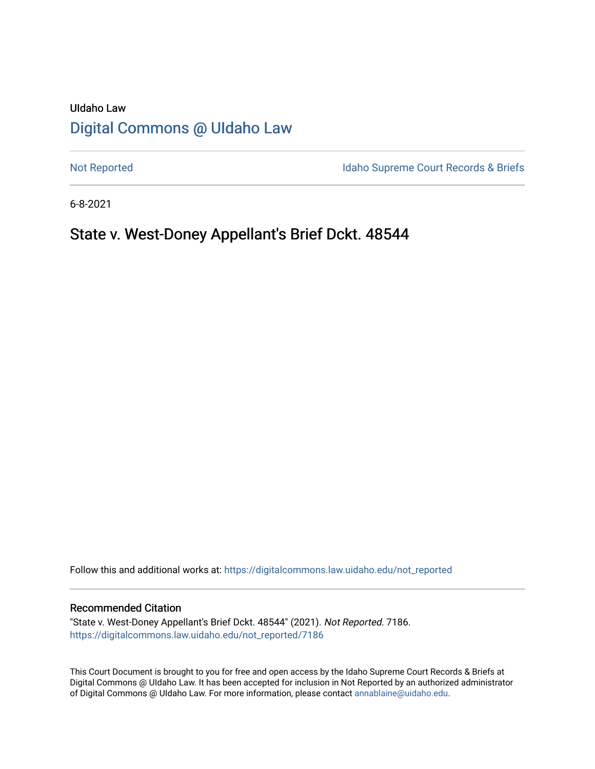# UIdaho Law [Digital Commons @ UIdaho Law](https://digitalcommons.law.uidaho.edu/)

[Not Reported](https://digitalcommons.law.uidaho.edu/not_reported) **Idaho Supreme Court Records & Briefs** 

6-8-2021

# State v. West-Doney Appellant's Brief Dckt. 48544

Follow this and additional works at: [https://digitalcommons.law.uidaho.edu/not\\_reported](https://digitalcommons.law.uidaho.edu/not_reported?utm_source=digitalcommons.law.uidaho.edu%2Fnot_reported%2F7186&utm_medium=PDF&utm_campaign=PDFCoverPages) 

#### Recommended Citation

"State v. West-Doney Appellant's Brief Dckt. 48544" (2021). Not Reported. 7186. [https://digitalcommons.law.uidaho.edu/not\\_reported/7186](https://digitalcommons.law.uidaho.edu/not_reported/7186?utm_source=digitalcommons.law.uidaho.edu%2Fnot_reported%2F7186&utm_medium=PDF&utm_campaign=PDFCoverPages)

This Court Document is brought to you for free and open access by the Idaho Supreme Court Records & Briefs at Digital Commons @ UIdaho Law. It has been accepted for inclusion in Not Reported by an authorized administrator of Digital Commons @ UIdaho Law. For more information, please contact [annablaine@uidaho.edu](mailto:annablaine@uidaho.edu).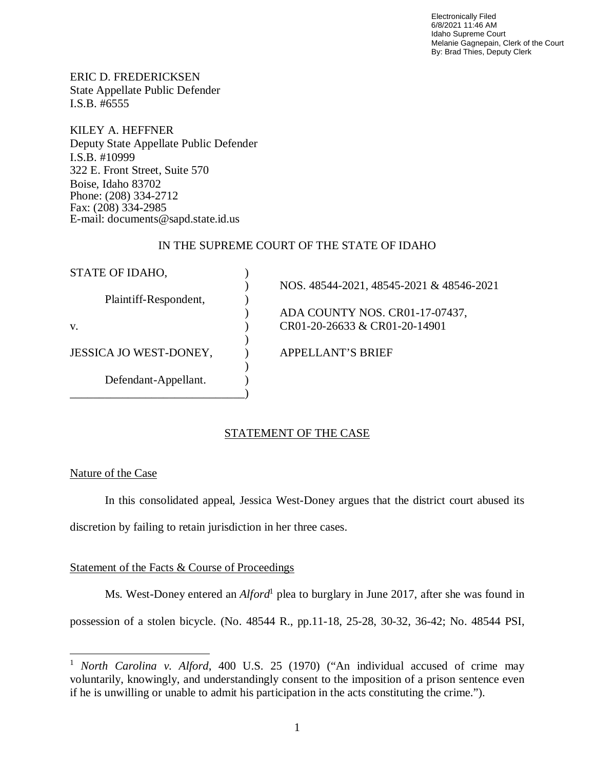Electronically Filed 6/8/2021 11:46 AM Idaho Supreme Court Melanie Gagnepain, Clerk of the Court By: Brad Thies, Deputy Clerk

ERIC D. FREDERICKSEN State Appellate Public Defender I.S.B. #6555

KILEY A. HEFFNER Deputy State Appellate Public Defender I.S.B. #10999 322 E. Front Street, Suite 570 Boise, Idaho 83702 Phone: (208) 334-2712 Fax: (208) 334-2985 E-mail: documents@sapd.state.id.us

## IN THE SUPREME COURT OF THE STATE OF IDAHO

| STATE OF IDAHO,        |                                          |
|------------------------|------------------------------------------|
|                        | NOS. 48544-2021, 48545-2021 & 48546-2021 |
| Plaintiff-Respondent,  |                                          |
|                        | ADA COUNTY NOS. CR01-17-07437,           |
| V.                     | CR01-20-26633 & CR01-20-14901            |
|                        |                                          |
| JESSICA JO WEST-DONEY, | APPELLANT'S BRIEF                        |
|                        |                                          |
| Defendant-Appellant.   |                                          |
|                        |                                          |

# STATEMENT OF THE CASE

Nature of the Case

In this consolidated appeal, Jessica West-Doney argues that the district court abused its discretion by failing to retain jurisdiction in her three cases.

## Statement of the Facts & Course of Proceedings

Ms. West-Doney entered an *Alford*<sup>[1](#page-1-0)</sup> plea to burglary in June 2017, after she was found in

possession of a stolen bicycle. (No. 48544 R., pp.11-18, 25-28, 30-32, 36-42; No. 48544 PSI,

<span id="page-1-0"></span><sup>1</sup> *North Carolina v. Alford*, 400 U.S. 25 (1970) ("An individual accused of crime may voluntarily, knowingly, and understandingly consent to the imposition of a prison sentence even if he is unwilling or unable to admit his participation in the acts constituting the crime.").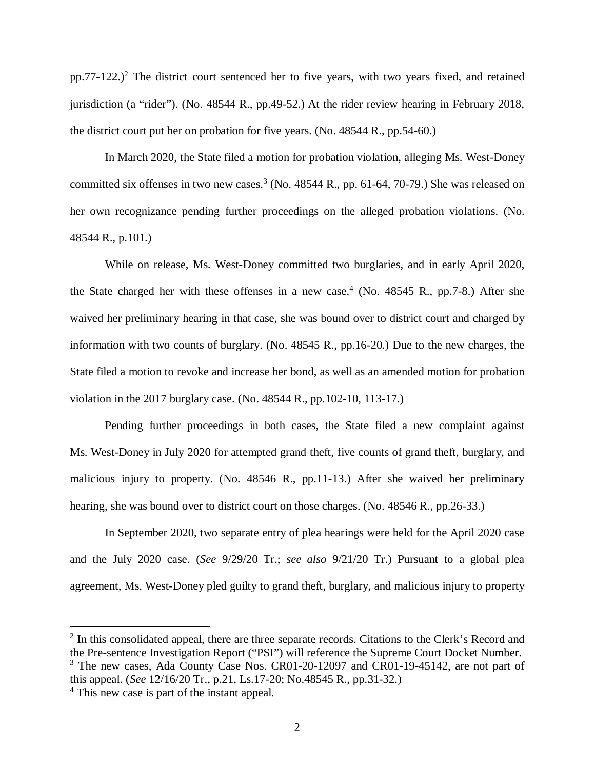$pp.77-122$  $pp.77-122$  $pp.77-122$ .)<sup>2</sup> The district court sentenced her to five years, with two years fixed, and retained jurisdiction (a "rider"). (No. 48544 R., pp.49-52.) At the rider review hearing in February 2018, the district court put her on probation for five years. (No. 48544 R., pp.54-60.)

In March 2020, the State filed a motion for probation violation, alleging Ms. West-Doney committed six offenses in two new cases.<sup>[3](#page-2-1)</sup> (No. 48544 R., pp. 61-64, 70-79.) She was released on her own recognizance pending further proceedings on the alleged probation violations. (No. 48544 R., p.101.)

While on release, Ms. West-Doney committed two burglaries, and in early April 2020, the State charged her with these offenses in a new case.<sup>[4](#page-2-2)</sup> (No. 48545 R., pp.7-8.) After she waived her preliminary hearing in that case, she was bound over to district court and charged by information with two counts of burglary. (No. 48545 R., pp.16-20.) Due to the new charges, the State filed a motion to revoke and increase her bond, as well as an amended motion for probation violation in the 2017 burglary case. (No. 48544 R., pp.102-10, 113-17.)

Pending further proceedings in both cases, the State filed a new complaint against Ms. West-Doney in July 2020 for attempted grand theft, five counts of grand theft, burglary, and malicious injury to property. (No. 48546 R., pp.11-13.) After she waived her preliminary hearing, she was bound over to district court on those charges. (No. 48546 R., pp.26-33.)

In September 2020, two separate entry of plea hearings were held for the April 2020 case and the July 2020 case. (*See* 9/29/20 Tr.; *see also* 9/21/20 Tr.) Pursuant to a global plea agreement, Ms. West-Doney pled guilty to grand theft, burglary, and malicious injury to property

<span id="page-2-1"></span><span id="page-2-0"></span><sup>2</sup> In this consolidated appeal, there are three separate records. Citations to the Clerk's Record and the Pre-sentence Investigation Report ("PSI") will reference the Supreme Court Docket Number. <sup>3</sup> The new cases, Ada County Case Nos. CR01-20-12097 and CR01-19-45142, are not part of this appeal. (*See* 12/16/20 Tr., p.21, Ls.17-20; No.48545 R., pp.31-32.)

<span id="page-2-2"></span><sup>&</sup>lt;sup>4</sup> This new case is part of the instant appeal.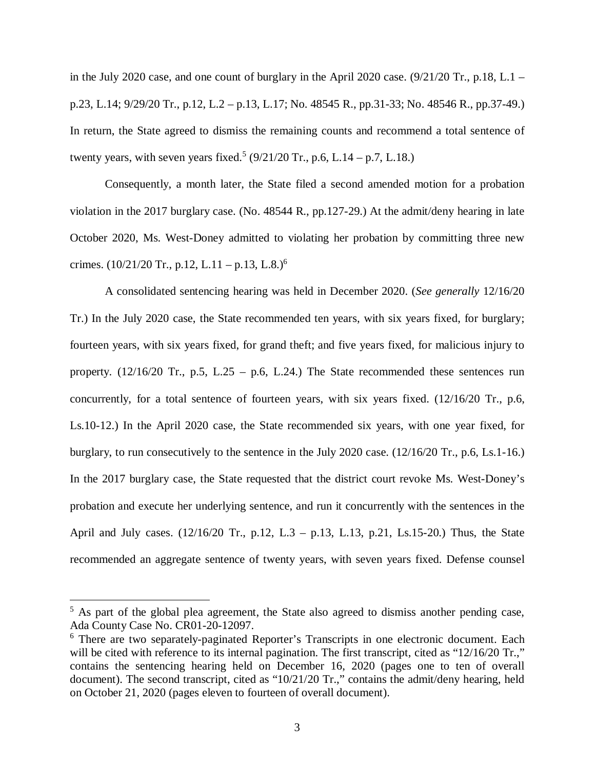in the July 2020 case, and one count of burglary in the April 2020 case.  $(9/21/20 \text{ Tr}., p.18, L.1$ p.23, L.14; 9/29/20 Tr., p.12, L.2 – p.13, L.17; No. 48545 R., pp.31-33; No. 48546 R., pp.37-49.) In return, the State agreed to dismiss the remaining counts and recommend a total sentence of twenty years, with seven years fixed.<sup>[5](#page-3-0)</sup> (9/21/20 Tr., p.6, L.14 – p.7, L.18.)

Consequently, a month later, the State filed a second amended motion for a probation violation in the 2017 burglary case. (No. 48544 R., pp.127-29.) At the admit/deny hearing in late October 2020, Ms. West-Doney admitted to violating her probation by committing three new crimes.  $(10/21/20 \text{ Tr.}, p.12, L.11 - p.13, L.8)^6$  $(10/21/20 \text{ Tr.}, p.12, L.11 - p.13, L.8)^6$ 

A consolidated sentencing hearing was held in December 2020. (*See generally* 12/16/20 Tr.) In the July 2020 case, the State recommended ten years, with six years fixed, for burglary; fourteen years, with six years fixed, for grand theft; and five years fixed, for malicious injury to property.  $(12/16/20 \text{ Tr.}, p.5, L.25 - p.6, L.24.)$  The State recommended these sentences run concurrently, for a total sentence of fourteen years, with six years fixed. (12/16/20 Tr., p.6, Ls.10-12.) In the April 2020 case, the State recommended six years, with one year fixed, for burglary, to run consecutively to the sentence in the July 2020 case. (12/16/20 Tr., p.6, Ls.1-16.) In the 2017 burglary case, the State requested that the district court revoke Ms. West-Doney's probation and execute her underlying sentence, and run it concurrently with the sentences in the April and July cases. (12/16/20 Tr., p.12, L.3 – p.13, L.13, p.21, Ls.15-20.) Thus, the State recommended an aggregate sentence of twenty years, with seven years fixed. Defense counsel

<span id="page-3-0"></span><sup>&</sup>lt;sup>5</sup> As part of the global plea agreement, the State also agreed to dismiss another pending case, Ada County Case No. CR01-20-12097.

<span id="page-3-1"></span><sup>&</sup>lt;sup>6</sup> There are two separately-paginated Reporter's Transcripts in one electronic document. Each will be cited with reference to its internal pagination. The first transcript, cited as "12/16/20 Tr.," contains the sentencing hearing held on December 16, 2020 (pages one to ten of overall document). The second transcript, cited as "10/21/20 Tr.," contains the admit/deny hearing, held on October 21, 2020 (pages eleven to fourteen of overall document).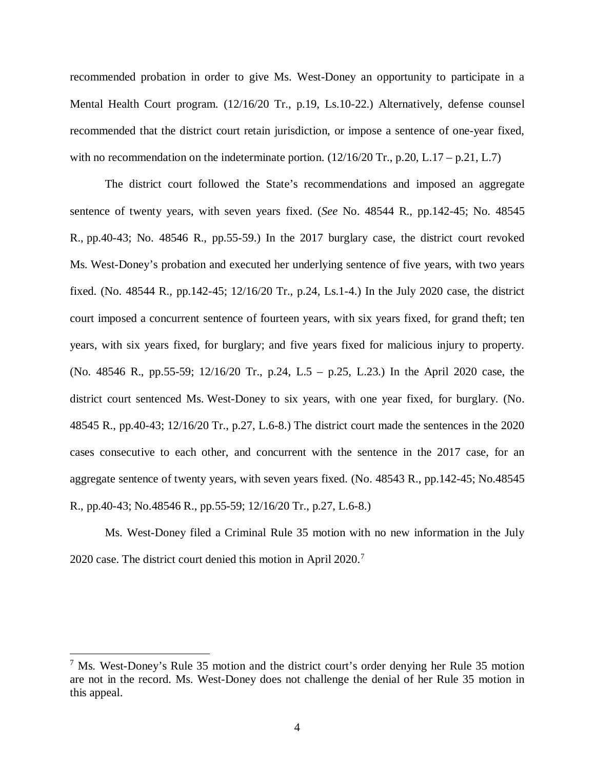recommended probation in order to give Ms. West-Doney an opportunity to participate in a Mental Health Court program. (12/16/20 Tr., p.19, Ls.10-22.) Alternatively, defense counsel recommended that the district court retain jurisdiction, or impose a sentence of one-year fixed, with no recommendation on the indeterminate portion.  $(12/16/20 \text{ Tr.}, p.20, L.17 - p.21, L.7)$ 

The district court followed the State's recommendations and imposed an aggregate sentence of twenty years, with seven years fixed. (*See* No. 48544 R., pp.142-45; No. 48545 R., pp.40-43; No. 48546 R., pp.55-59.) In the 2017 burglary case, the district court revoked Ms. West-Doney's probation and executed her underlying sentence of five years, with two years fixed. (No. 48544 R., pp.142-45; 12/16/20 Tr., p.24, Ls.1-4.) In the July 2020 case, the district court imposed a concurrent sentence of fourteen years, with six years fixed, for grand theft; ten years, with six years fixed, for burglary; and five years fixed for malicious injury to property. (No. 48546 R., pp.55-59; 12/16/20 Tr., p.24, L.5 – p.25, L.23.) In the April 2020 case, the district court sentenced Ms. West-Doney to six years, with one year fixed, for burglary. (No. 48545 R., pp.40-43; 12/16/20 Tr., p.27, L.6-8.) The district court made the sentences in the 2020 cases consecutive to each other, and concurrent with the sentence in the 2017 case, for an aggregate sentence of twenty years, with seven years fixed. (No. 48543 R., pp.142-45; No.48545 R., pp.40-43; No.48546 R., pp.55-59; 12/16/20 Tr., p.27, L.6-8.)

Ms. West-Doney filed a Criminal Rule 35 motion with no new information in the July 2020 case. The district court denied this motion in April 2020.[7](#page-4-0)

<span id="page-4-0"></span><sup>&</sup>lt;sup>7</sup> Ms. West-Doney's Rule 35 motion and the district court's order denying her Rule 35 motion are not in the record. Ms. West-Doney does not challenge the denial of her Rule 35 motion in this appeal.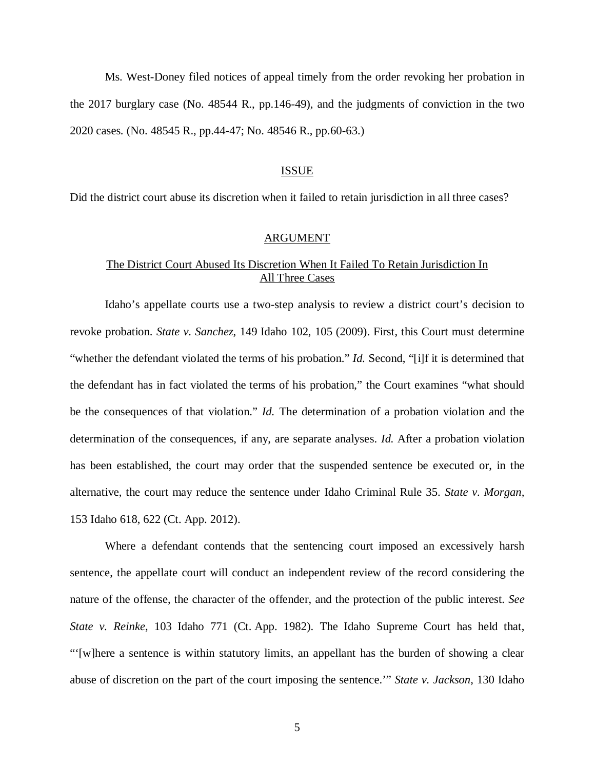Ms. West-Doney filed notices of appeal timely from the order revoking her probation in the 2017 burglary case (No. 48544 R., pp.146-49), and the judgments of conviction in the two 2020 cases. (No. 48545 R., pp.44-47; No. 48546 R., pp.60-63.)

### ISSUE

Did the district court abuse its discretion when it failed to retain jurisdiction in all three cases?

#### ARGUMENT

# The District Court Abused Its Discretion When It Failed To Retain Jurisdiction In All Three Cases

Idaho's appellate courts use a two-step analysis to review a district court's decision to revoke probation. *State v. Sanchez*, 149 Idaho 102, 105 (2009). First, this Court must determine "whether the defendant violated the terms of his probation." *Id.* Second, "[i]f it is determined that the defendant has in fact violated the terms of his probation," the Court examines "what should be the consequences of that violation." *Id.* The determination of a probation violation and the determination of the consequences, if any, are separate analyses. *Id.* After a probation violation has been established, the court may order that the suspended sentence be executed or, in the alternative, the court may reduce the sentence under Idaho Criminal Rule 35. *State v. Morgan,* 153 Idaho 618, 622 (Ct. App. 2012).

Where a defendant contends that the sentencing court imposed an excessively harsh sentence, the appellate court will conduct an independent review of the record considering the nature of the offense, the character of the offender, and the protection of the public interest. *See State v. Reinke*, 103 Idaho 771 (Ct. App. 1982). The Idaho Supreme Court has held that, "'[w]here a sentence is within statutory limits, an appellant has the burden of showing a clear abuse of discretion on the part of the court imposing the sentence.'" *State v. Jackson*, 130 Idaho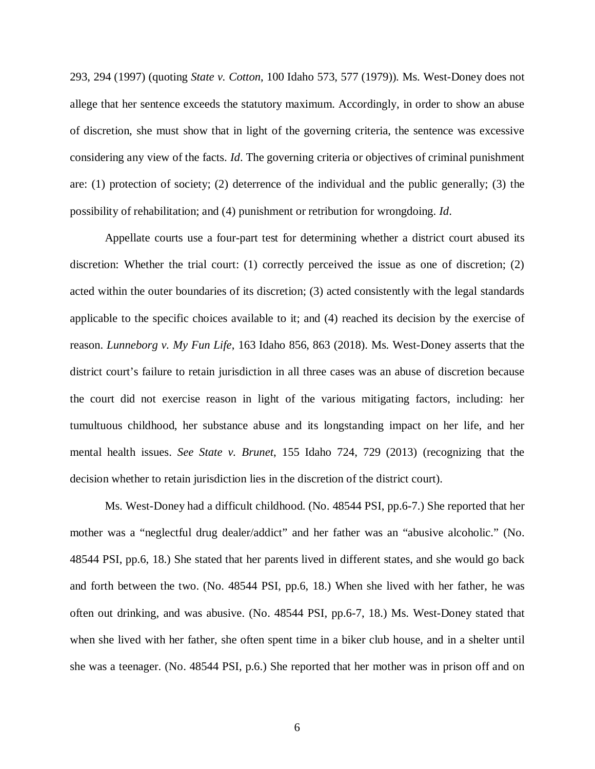293, 294 (1997) (quoting *State v. Cotton*, 100 Idaho 573, 577 (1979)). Ms. West-Doney does not allege that her sentence exceeds the statutory maximum. Accordingly, in order to show an abuse of discretion, she must show that in light of the governing criteria, the sentence was excessive considering any view of the facts. *Id*. The governing criteria or objectives of criminal punishment are: (1) protection of society; (2) deterrence of the individual and the public generally; (3) the possibility of rehabilitation; and (4) punishment or retribution for wrongdoing. *Id*.

Appellate courts use a four-part test for determining whether a district court abused its discretion: Whether the trial court: (1) correctly perceived the issue as one of discretion; (2) acted within the outer boundaries of its discretion; (3) acted consistently with the legal standards applicable to the specific choices available to it; and (4) reached its decision by the exercise of reason. *Lunneborg v. My Fun Life*, 163 Idaho 856, 863 (2018). Ms. West-Doney asserts that the district court's failure to retain jurisdiction in all three cases was an abuse of discretion because the court did not exercise reason in light of the various mitigating factors, including: her tumultuous childhood, her substance abuse and its longstanding impact on her life, and her mental health issues. *See State v. Brunet*, 155 Idaho 724, 729 (2013) (recognizing that the decision whether to retain jurisdiction lies in the discretion of the district court).

Ms. West-Doney had a difficult childhood. (No. 48544 PSI, pp.6-7.) She reported that her mother was a "neglectful drug dealer/addict" and her father was an "abusive alcoholic." (No. 48544 PSI, pp.6, 18.) She stated that her parents lived in different states, and she would go back and forth between the two. (No. 48544 PSI, pp.6, 18.) When she lived with her father, he was often out drinking, and was abusive. (No. 48544 PSI, pp.6-7, 18.) Ms. West-Doney stated that when she lived with her father, she often spent time in a biker club house, and in a shelter until she was a teenager. (No. 48544 PSI, p.6.) She reported that her mother was in prison off and on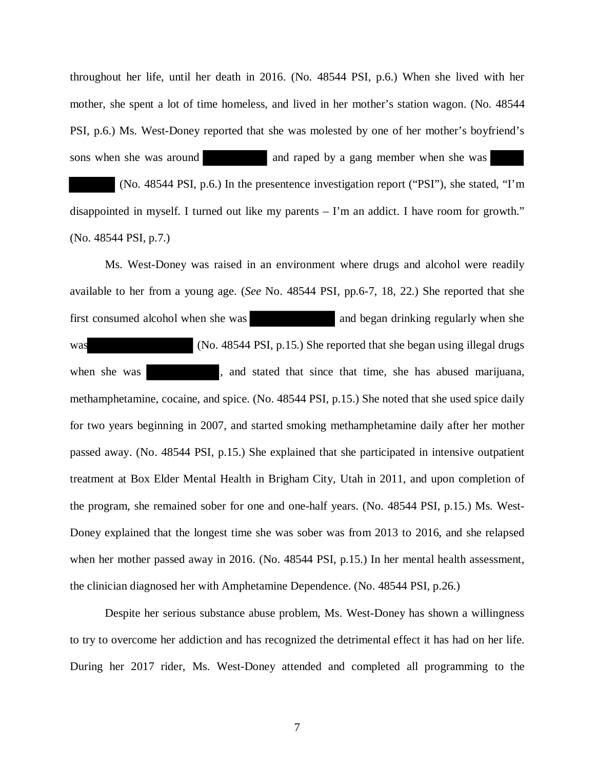throughout her life, until her death in 2016. (No. 48544 PSI, p.6.) When she lived with her mother, she spent a lot of time homeless, and lived in her mother's station wagon. (No. 48544 PSI, p.6.) Ms. West-Doney reported that she was molested by one of her mother's boyfriend's sons when she was around and raped by a gang member when she was

 (No. 48544 PSI, p.6.) In the presentence investigation report ("PSI"), she stated, "I'm disappointed in myself. I turned out like my parents – I'm an addict. I have room for growth." (No. 48544 PSI, p.7.)

Ms. West-Doney was raised in an environment where drugs and alcohol were readily available to her from a young age. (*See* No. 48544 PSI, pp.6-7, 18, 22.) She reported that she first consumed alcohol when she was and began drinking regularly when she was (No. 48544 PSI, p.15.) She reported that she began using illegal drugs when she was , and stated that since that time, she has abused marijuana, methamphetamine, cocaine, and spice. (No. 48544 PSI, p.15.) She noted that she used spice daily for two years beginning in 2007, and started smoking methamphetamine daily after her mother passed away. (No. 48544 PSI, p.15.) She explained that she participated in intensive outpatient treatment at Box Elder Mental Health in Brigham City, Utah in 2011, and upon completion of the program, she remained sober for one and one-half years. (No. 48544 PSI, p.15.) Ms. West-Doney explained that the longest time she was sober was from 2013 to 2016, and she relapsed when her mother passed away in 2016. (No. 48544 PSI, p.15.) In her mental health assessment, the clinician diagnosed her with Amphetamine Dependence. (No. 48544 PSI, p.26.)

Despite her serious substance abuse problem, Ms. West-Doney has shown a willingness to try to overcome her addiction and has recognized the detrimental effect it has had on her life. During her 2017 rider, Ms. West-Doney attended and completed all programming to the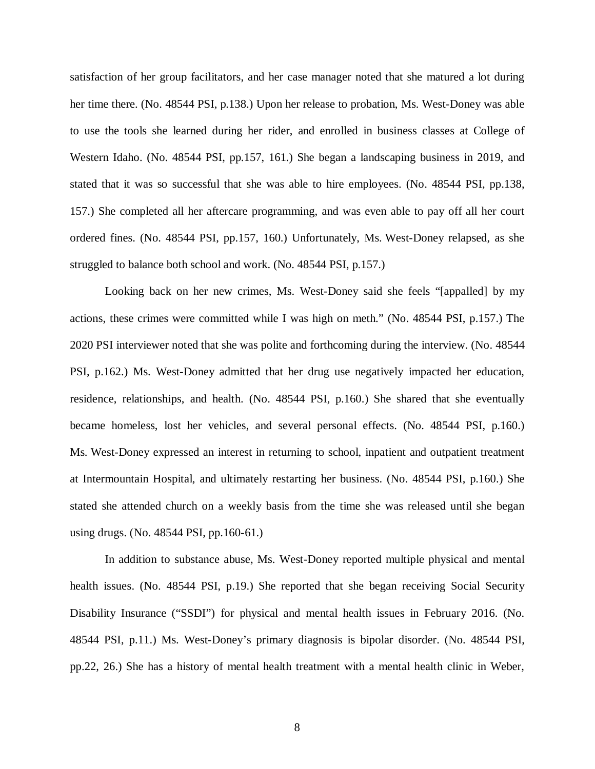satisfaction of her group facilitators, and her case manager noted that she matured a lot during her time there. (No. 48544 PSI, p.138.) Upon her release to probation, Ms. West-Doney was able to use the tools she learned during her rider, and enrolled in business classes at College of Western Idaho. (No. 48544 PSI, pp.157, 161.) She began a landscaping business in 2019, and stated that it was so successful that she was able to hire employees. (No. 48544 PSI, pp.138, 157.) She completed all her aftercare programming, and was even able to pay off all her court ordered fines. (No. 48544 PSI, pp.157, 160.) Unfortunately, Ms. West-Doney relapsed, as she struggled to balance both school and work. (No. 48544 PSI, p.157.)

Looking back on her new crimes, Ms. West-Doney said she feels "[appalled] by my actions, these crimes were committed while I was high on meth." (No. 48544 PSI, p.157.) The 2020 PSI interviewer noted that she was polite and forthcoming during the interview. (No. 48544 PSI, p.162.) Ms. West-Doney admitted that her drug use negatively impacted her education, residence, relationships, and health. (No. 48544 PSI, p.160.) She shared that she eventually became homeless, lost her vehicles, and several personal effects. (No. 48544 PSI, p.160.) Ms. West-Doney expressed an interest in returning to school, inpatient and outpatient treatment at Intermountain Hospital, and ultimately restarting her business. (No. 48544 PSI, p.160.) She stated she attended church on a weekly basis from the time she was released until she began using drugs. (No. 48544 PSI, pp.160-61.)

In addition to substance abuse, Ms. West-Doney reported multiple physical and mental health issues. (No. 48544 PSI, p.19.) She reported that she began receiving Social Security Disability Insurance ("SSDI") for physical and mental health issues in February 2016. (No. 48544 PSI, p.11.) Ms. West-Doney's primary diagnosis is bipolar disorder. (No. 48544 PSI, pp.22, 26.) She has a history of mental health treatment with a mental health clinic in Weber,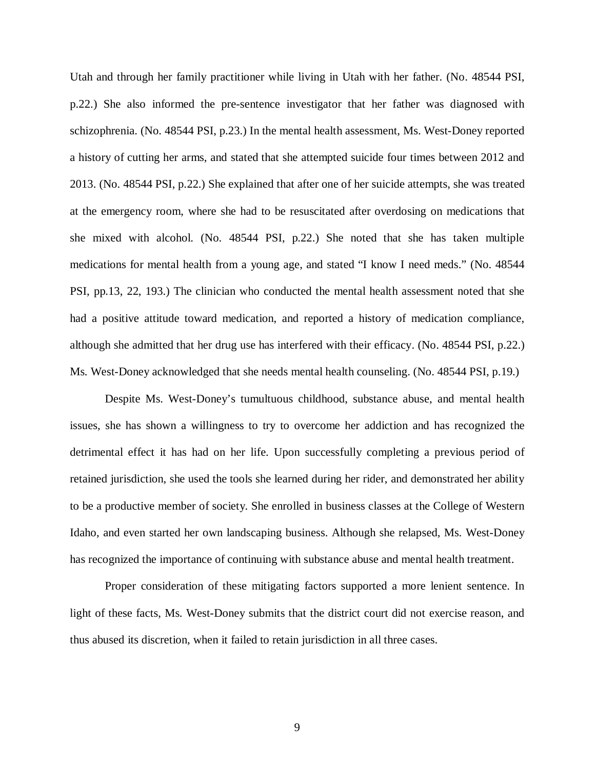Utah and through her family practitioner while living in Utah with her father. (No. 48544 PSI, p.22.) She also informed the pre-sentence investigator that her father was diagnosed with schizophrenia. (No. 48544 PSI, p.23.) In the mental health assessment, Ms. West-Doney reported a history of cutting her arms, and stated that she attempted suicide four times between 2012 and 2013. (No. 48544 PSI, p.22.) She explained that after one of her suicide attempts, she was treated at the emergency room, where she had to be resuscitated after overdosing on medications that she mixed with alcohol. (No. 48544 PSI, p.22.) She noted that she has taken multiple medications for mental health from a young age, and stated "I know I need meds." (No. 48544 PSI, pp.13, 22, 193.) The clinician who conducted the mental health assessment noted that she had a positive attitude toward medication, and reported a history of medication compliance, although she admitted that her drug use has interfered with their efficacy. (No. 48544 PSI, p.22.) Ms. West-Doney acknowledged that she needs mental health counseling. (No. 48544 PSI, p.19.)

Despite Ms. West-Doney's tumultuous childhood, substance abuse, and mental health issues, she has shown a willingness to try to overcome her addiction and has recognized the detrimental effect it has had on her life. Upon successfully completing a previous period of retained jurisdiction, she used the tools she learned during her rider, and demonstrated her ability to be a productive member of society. She enrolled in business classes at the College of Western Idaho, and even started her own landscaping business. Although she relapsed, Ms. West-Doney has recognized the importance of continuing with substance abuse and mental health treatment.

Proper consideration of these mitigating factors supported a more lenient sentence. In light of these facts, Ms. West-Doney submits that the district court did not exercise reason, and thus abused its discretion, when it failed to retain jurisdiction in all three cases.